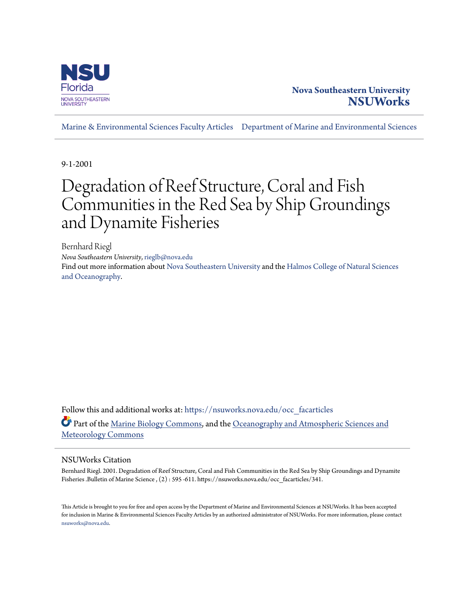

## **Nova Southeastern University [NSUWorks](https://nsuworks.nova.edu?utm_source=nsuworks.nova.edu%2Focc_facarticles%2F341&utm_medium=PDF&utm_campaign=PDFCoverPages)**

[Marine & Environmental Sciences Faculty Articles](https://nsuworks.nova.edu/occ_facarticles?utm_source=nsuworks.nova.edu%2Focc_facarticles%2F341&utm_medium=PDF&utm_campaign=PDFCoverPages) [Department of Marine and Environmental Sciences](https://nsuworks.nova.edu/cnso_mes?utm_source=nsuworks.nova.edu%2Focc_facarticles%2F341&utm_medium=PDF&utm_campaign=PDFCoverPages)

9-1-2001

# Degradation of Reef Structure, Coral and Fish Communities in the Red Sea by Ship Groundings and Dynamite Fisheries

Bernhard Riegl *Nova Southeastern University*, rieglb@nova.edu Find out more information about [Nova Southeastern University](http://www.nova.edu/) and the [Halmos College of Natural Sciences](https://cnso.nova.edu) [and Oceanography.](https://cnso.nova.edu)

Follow this and additional works at: [https://nsuworks.nova.edu/occ\\_facarticles](https://nsuworks.nova.edu/occ_facarticles?utm_source=nsuworks.nova.edu%2Focc_facarticles%2F341&utm_medium=PDF&utm_campaign=PDFCoverPages) Part of the [Marine Biology Commons,](http://network.bepress.com/hgg/discipline/1126?utm_source=nsuworks.nova.edu%2Focc_facarticles%2F341&utm_medium=PDF&utm_campaign=PDFCoverPages) and the [Oceanography and Atmospheric Sciences and](http://network.bepress.com/hgg/discipline/186?utm_source=nsuworks.nova.edu%2Focc_facarticles%2F341&utm_medium=PDF&utm_campaign=PDFCoverPages) [Meteorology Commons](http://network.bepress.com/hgg/discipline/186?utm_source=nsuworks.nova.edu%2Focc_facarticles%2F341&utm_medium=PDF&utm_campaign=PDFCoverPages)

## NSUWorks Citation

Bernhard Riegl. 2001. Degradation of Reef Structure, Coral and Fish Communities in the Red Sea by Ship Groundings and Dynamite Fisheries .Bulletin of Marine Science , (2) : 595 -611. https://nsuworks.nova.edu/occ\_facarticles/341.

This Article is brought to you for free and open access by the Department of Marine and Environmental Sciences at NSUWorks. It has been accepted for inclusion in Marine & Environmental Sciences Faculty Articles by an authorized administrator of NSUWorks. For more information, please contact [nsuworks@nova.edu.](mailto:nsuworks@nova.edu)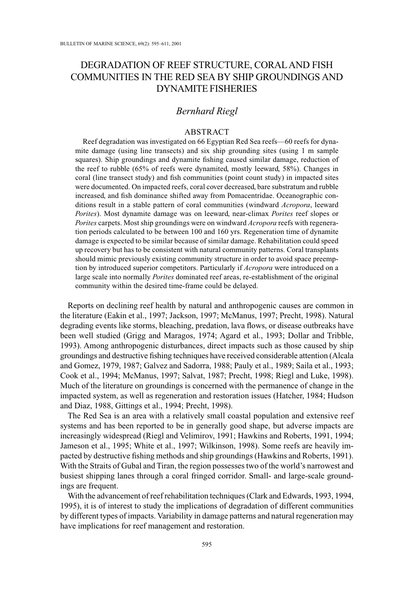## DEGRADATION OF REEF STRUCTURE, CORAL AND FISH COMMUNITIES IN THE RED SEA BY SHIP GROUNDINGS AND **DYNAMITE FISHERIES**

## **Bernhard Riegl**

#### **ABSTRACT**

Reef degradation was investigated on 66 Egyptian Red Sea reefs—60 reefs for dynamite damage (using line transects) and six ship grounding sites (using 1 m sample squares). Ship groundings and dynamite fishing caused similar damage, reduction of the reef to rubble (65% of reefs were dynamited, mostly leeward, 58%). Changes in coral (line transect study) and fish communities (point count study) in impacted sites were documented. On impacted reefs, coral cover decreased, bare substratum and rubble increased, and fish dominance shifted away from Pomacentridae. Oceanographic conditions result in a stable pattern of coral communities (windward Acropora, leeward Porites). Most dynamite damage was on leeward, near-climax Porites reef slopes or Porites carpets. Most ship groundings were on windward Acropora reefs with regeneration periods calculated to be between 100 and 160 yrs. Regeneration time of dynamite damage is expected to be similar because of similar damage. Rehabilitation could speed up recovery but has to be consistent with natural community patterns. Coral transplants should mimic previously existing community structure in order to avoid space preemption by introduced superior competitors. Particularly if *Acropora* were introduced on a large scale into normally *Porites* dominated reef areas, re-establishment of the original community within the desired time-frame could be delayed.

Reports on declining reef health by natural and anthropogenic causes are common in the literature (Eakin et al., 1997; Jackson, 1997; McManus, 1997; Precht, 1998). Natural degrading events like storms, bleaching, predation, lava flows, or disease outbreaks have been well studied (Grigg and Maragos, 1974; Agard et al., 1993; Dollar and Tribble, 1993). Among anthropogenic disturbances, direct impacts such as those caused by ship groundings and destructive fishing techniques have received considerable attention (Alcala and Gomez, 1979, 1987; Galvez and Sadorra, 1988; Pauly et al., 1989; Saila et al., 1993; Cook et al., 1994; McManus, 1997; Salvat, 1987; Precht, 1998; Riegl and Luke, 1998). Much of the literature on groundings is concerned with the permanence of change in the impacted system, as well as regeneration and restoration issues (Hatcher, 1984; Hudson and Diaz, 1988, Gittings et al., 1994; Precht, 1998).

The Red Sea is an area with a relatively small coastal population and extensive reef systems and has been reported to be in generally good shape, but adverse impacts are increasingly widespread (Riegl and Velimirov, 1991; Hawkins and Roberts, 1991, 1994; Jameson et al., 1995; White et al., 1997; Wilkinson, 1998). Some reefs are heavily impacted by destructive fishing methods and ship groundings (Hawkins and Roberts, 1991). With the Straits of Gubal and Tiran, the region possesses two of the world's narrowest and busiest shipping lanes through a coral fringed corridor. Small- and large-scale groundings are frequent.

With the advancement of reef rehabilitation techniques (Clark and Edwards, 1993, 1994, 1995), it is of interest to study the implications of degradation of different communities by different types of impacts. Variability in damage patterns and natural regeneration may have implications for reef management and restoration.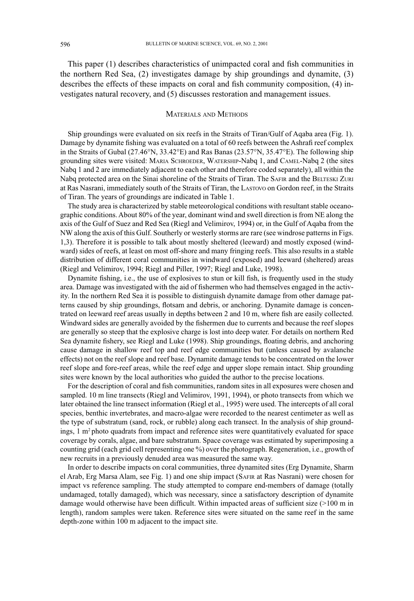This paper (1) describes characteristics of unimpacted coral and fish communities in the northern Red Sea, (2) investigates damage by ship groundings and dynamite, (3) describes the effects of these impacts on coral and fish community composition, (4) investigates natural recovery, and  $(5)$  discusses restoration and management issues.

#### **MATERIALS AND METHODS**

Ship groundings were evaluated on six reefs in the Straits of Tiran/Gulf of Aqaba area (Fig. 1). Damage by dynamite fishing was evaluated on a total of 60 reefs between the Ashrafi reef complex in the Straits of Gubal (27.46°N, 33.42°E) and Ras Banas (23.57°N, 35.47°E). The following ship grounding sites were visited: MARIA SCHROEDER, WATERSHIP-Nabq 1, and CAMEL-Nabq 2 (the sites Nabq 1 and 2 are immediately adjacent to each other and therefore coded separately), all within the Nabq protected area on the Sinai shoreline of the Straits of Tiran. The SAFIR and the BELTESKI ZURI at Ras Nasrani, immediately south of the Straits of Tiran, the LASTOVO on Gordon reef, in the Straits of Tiran. The years of groundings are indicated in Table 1.

The study area is characterized by stable meteorological conditions with resultant stable oceanographic conditions. About 80% of the year, dominant wind and swell direction is from NE along the axis of the Gulf of Suez and Red Sea (Riegl and Velimirov, 1994) or, in the Gulf of Aqaba from the NW along the axis of this Gulf. Southerly or westerly storms are rare (see windrose patterns in Figs. 1,3). Therefore it is possible to talk about mostly sheltered (leeward) and mostly exposed (windward) sides of reefs, at least on most off-shore and many fringing reefs. This also results in a stable distribution of different coral communities in windward (exposed) and leeward (sheltered) areas (Riegl and Velimirov, 1994; Riegl and Piller, 1997; Riegl and Luke, 1998).

Dynamite fishing, i.e., the use of explosives to stun or kill fish, is frequently used in the study area. Damage was investigated with the aid of fishermen who had themselves engaged in the activity. In the northern Red Sea it is possible to distinguish dynamite damage from other damage patterns caused by ship groundings, flotsam and debris, or anchoring. Dynamite damage is concentrated on leeward reef areas usually in depths between 2 and 10 m, where fish are easily collected. Windward sides are generally avoided by the fishermen due to currents and because the reef slopes are generally so steep that the explosive charge is lost into deep water. For details on northern Red Sea dynamite fishery, see Riegl and Luke (1998). Ship groundings, floating debris, and anchoring cause damage in shallow reef top and reef edge communities but (unless caused by avalanche effects) not on the reef slope and reef base. Dynamite damage tends to be concentrated on the lower reef slope and fore-reef areas, while the reef edge and upper slope remain intact. Ship grounding sites were known by the local authorities who guided the author to the precise locations.

For the description of coral and fish communities, random sites in all exposures were chosen and sampled. 10 m line transects (Riegl and Velimirov, 1991, 1994), or photo transects from which we later obtained the line transect information (Riegl et al., 1995) were used. The intercepts of all coral species, benthic invertebrates, and macro-algae were recorded to the nearest centimeter as well as the type of substratum (sand, rock, or rubble) along each transect. In the analysis of ship groundings, 1 m<sup>2</sup> photo quadrats from impact and reference sites were quantitatively evaluated for space coverage by corals, algae, and bare substratum. Space coverage was estimated by superimposing a counting grid (each grid cell representing one %) over the photograph. Regeneration, i.e., growth of new recruits in a previously denuded area was measured the same way.

In order to describe impacts on coral communities, three dynamited sites (Erg Dynamite, Sharm el Arab, Erg Marsa Alam, see Fig. 1) and one ship impact (SAFIR at Ras Nasrani) were chosen for impact vs reference sampling. The study attempted to compare end-members of damage (totally undamaged, totally damaged), which was necessary, since a satisfactory description of dynamite damage would otherwise have been difficult. Within impacted areas of sufficient size  $(>100 \text{ m in})$ length), random samples were taken. Reference sites were situated on the same reef in the same depth-zone within 100 m adjacent to the impact site.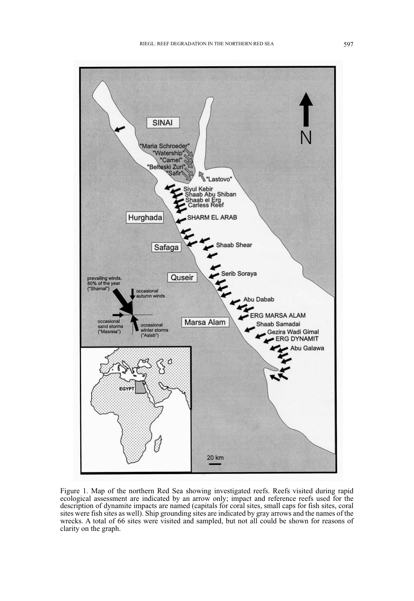

Figure 1. Map of the northern Red Sea showing investigated reefs. Reefs visited during rapid ecological assessment are indicated by an arrow only; impact and reference reefs used for the description of dynamite impacts are named (capitals for coral sites, small caps for fish sites, coral sites were fish sites as well). Ship grounding sites are indicated by gray arrows and the names of the wrecks. A total of 66 sites were visited and sampled, but not all could be shown for reasons of clarity on the graph.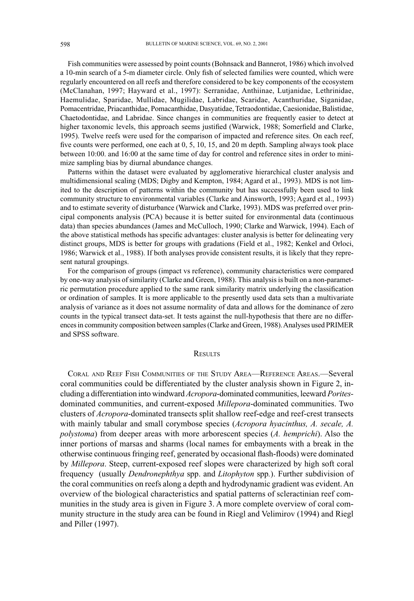Fish communities were assessed by point counts (Bohnsack and Bannerot, 1986) which involved a 10-min search of a 5-m diameter circle. Only fish of selected families were counted, which were regularly encountered on all reefs and therefore considered to be key components of the ecosystem (McClanahan, 1997; Hayward et al., 1997): Serranidae, Anthiinae, Lutjanidae, Lethrinidae, Haemulidae, Sparidae, Mullidae, Mugilidae, Labridae, Scaridae, Acanthuridae, Siganidae, Pomacentridae, Priacanthidae, Pomacanthidae, Dasyatidae, Tetraodontidae, Caesionidae, Balistidae, Chaetodontidae, and Labridae. Since changes in communities are frequently easier to detect at higher taxonomic levels, this approach seems justified (Warwick, 1988; Somerfield and Clarke, 1995). Twelve reefs were used for the comparison of impacted and reference sites. On each reef, five counts were performed, one each at 0, 5, 10, 15, and 20 m depth. Sampling always took place between 10:00. and 16:00 at the same time of day for control and reference sites in order to minimize sampling bias by diurnal abundance changes.

Patterns within the dataset were evaluated by agglomerative hierarchical cluster analysis and multidimensional scaling (MDS; Digby and Kempton, 1984; Agard et al., 1993). MDS is not limited to the description of patterns within the community but has successfully been used to link community structure to environmental variables (Clarke and Ainsworth, 1993; Agard et al., 1993) and to estimate severity of disturbance (Warwick and Clarke, 1993). MDS was preferred over principal components analysis (PCA) because it is better suited for environmental data (continuous data) than species abundances (James and McCulloch, 1990; Clarke and Warwick, 1994). Each of the above statistical methods has specific advantages: cluster analysis is better for delineating very distinct groups, MDS is better for groups with gradations (Field et al., 1982; Kenkel and Orloci, 1986; Warwick et al., 1988). If both analyses provide consistent results, it is likely that they represent natural groupings.

For the comparison of groups (impact vs reference), community characteristics were compared by one-way analysis of similarity (Clarke and Green, 1988). This analysis is built on a non-parametric permutation procedure applied to the same rank similarity matrix underlying the classification or ordination of samples. It is more applicable to the presently used data sets than a multivariate analysis of variance as it does not assume normality of data and allows for the dominance of zero counts in the typical transect data-set. It tests against the null-hypothesis that there are no differences in community composition between samples (Clarke and Green, 1988). Analyses used PRIMER and SPSS software.

#### **RESULTS**

CORAL AND REEF FISH COMMUNITIES OF THE STUDY AREA—REFERENCE AREAS.—Several coral communities could be differentiated by the cluster analysis shown in Figure 2, including a differentiation into windward Acropora-dominated communities, leeward Poritesdominated communities, and current-exposed Millepora-dominated communities. Two clusters of Acropora-dominated transects split shallow reef-edge and reef-crest transects with mainly tabular and small corymbose species (Acropora hyacinthus, A. secale, A. polystoma) from deeper areas with more arborescent species (A. hemprichi). Also the inner portions of marsas and sharms (local names for embayments with a break in the otherwise continuous fringing reef, generated by occasional flash-floods) were dominated by Millepora. Steep, current-exposed reef slopes were characterized by high soft coral frequency (usually Dendronephthya spp. and Litophyton spp.). Further subdivision of the coral communities on reefs along a depth and hydrodynamic gradient was evident. An overview of the biological characteristics and spatial patterns of scleractinian reef communities in the study area is given in Figure 3. A more complete overview of coral community structure in the study area can be found in Riegl and Velimirov (1994) and Riegl and Piller (1997).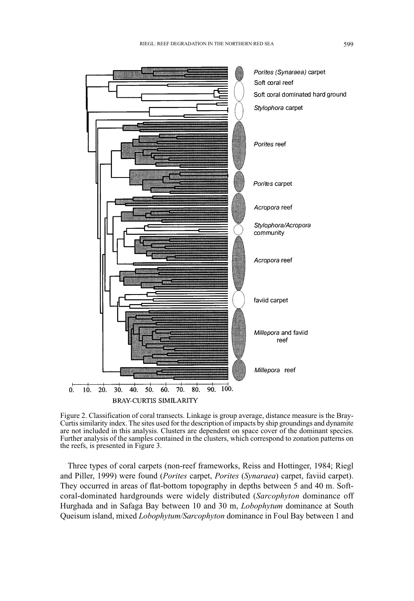

Figure 2. Classification of coral transects. Linkage is group average, distance measure is the Bray-Curtis similarity index. The sites used for the description of impacts by ship groundings and dynamite are not included in this analysis. Clusters are dependent on space cover of the dominant species. Further analysis of the samples contained in the clusters, which correspond to zonation patterns on the reefs, is presented in Figure 3.

Three types of coral carpets (non-reef frameworks, Reiss and Hottinger, 1984; Riegl and Piller, 1999) were found (*Porites* carpet, *Porites* (*Synaraea*) carpet, faviid carpet). They occurred in areas of flat-bottom topography in depths between 5 and 40 m. Softcoral-dominated hardgrounds were widely distributed (Sarcophyton dominance off Hurghada and in Safaga Bay between 10 and 30 m, *Lobophytum* dominance at South Oueisum island, mixed *Lobophytum/Sarcophyton* dominance in Foul Bay between 1 and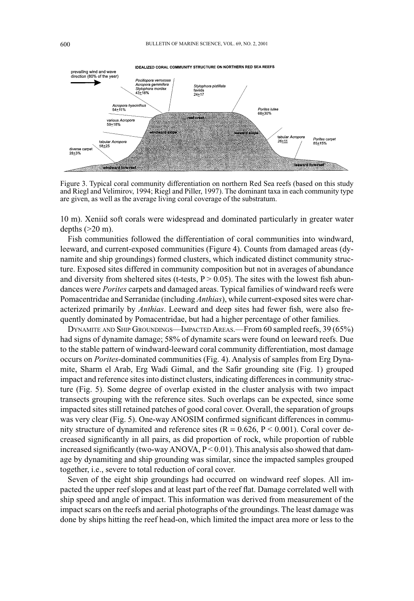

Figure 3. Typical coral community differentiation on northern Red Sea reefs (based on this study and Riegl and Velimirov, 1994; Riegl and Piller, 1997). The dominant taxa in each community type are given, as well as the average living coral coverage of the substratum.

10 m). Xeniid soft corals were widespread and dominated particularly in greater water depths  $(>20 \text{ m})$ .

Fish communities followed the differentiation of coral communities into windward. leeward, and current-exposed communities (Figure 4). Counts from damaged areas (dynamite and ship groundings) formed clusters, which indicated distinct community structure. Exposed sites differed in community composition but not in averages of abundance and diversity from sheltered sites (t-tests,  $P > 0.05$ ). The sites with the lowest fish abundances were *Porites* carpets and damaged areas. Typical families of windward reefs were Pomacentridae and Serranidae (including *Anthias*), while current-exposed sites were characterized primarily by *Anthias*. Leeward and deep sites had fewer fish, were also frequently dominated by Pomacentridae, but had a higher percentage of other families.

DYNAMITE AND SHIP GROUNDINGS—IMPACTED AREAS.—From 60 sampled reefs, 39 (65%) had signs of dynamite damage; 58% of dynamite scars were found on leeward reefs. Due to the stable pattern of windward-leeward coral community differentiation, most damage occurs on *Porites*-dominated communities (Fig. 4). Analysis of samples from Erg Dynamite, Sharm el Arab, Erg Wadi Gimal, and the Safir grounding site (Fig. 1) grouped impact and reference sites into distinct clusters, indicating differences in community structure (Fig. 5). Some degree of overlap existed in the cluster analysis with two impact transects grouping with the reference sites. Such overlaps can be expected, since some impacted sites still retained patches of good coral cover. Overall, the separation of groups was very clear (Fig. 5). One-way ANOSIM confirmed significant differences in community structure of dynamited and reference sites ( $R = 0.626$ ,  $P \le 0.001$ ). Coral cover decreased significantly in all pairs, as did proportion of rock, while proportion of rubble increased significantly (two-way ANOVA,  $P < 0.01$ ). This analysis also showed that damage by dynamiting and ship grounding was similar, since the impacted samples grouped together, *i.e.*, severe to total reduction of coral cover.

Seven of the eight ship groundings had occurred on windward reef slopes. All impacted the upper reef slopes and at least part of the reef flat. Damage correlated well with ship speed and angle of impact. This information was derived from measurement of the impact scars on the reefs and aerial photographs of the groundings. The least damage was done by ships hitting the reef head-on, which limited the impact area more or less to the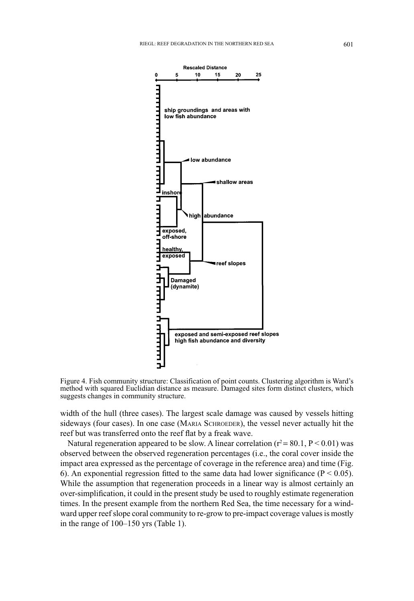

Figure 4. Fish community structure: Classification of point counts. Clustering algorithm is Ward's method with squared Euclidian distance as measure. Damaged sites form distinct clusters, which suggests changes in community structure.

width of the hull (three cases). The largest scale damage was caused by vessels hitting sideways (four cases). In one case (MARIA SCHROEDER), the vessel never actually hit the reef but was transferred onto the reef flat by a freak wave.

Natural regeneration appeared to be slow. A linear correlation ( $r^2$  = 80.1, P < 0.01) was observed between the observed regeneration percentages (i.e., the coral cover inside the impact area expressed as the percentage of coverage in the reference area) and time (Fig. 6). An exponential regression fitted to the same data had lower significance ( $P \le 0.05$ ). While the assumption that regeneration proceeds in a linear way is almost certainly an over-simplification, it could in the present study be used to roughly estimate regeneration times. In the present example from the northern Red Sea, the time necessary for a windward upper reef slope coral community to re-grow to pre-impact coverage values is mostly in the range of  $100-150$  yrs (Table 1).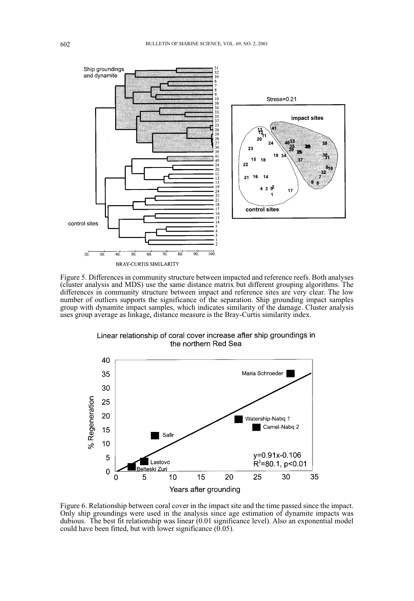

Figure 5. Differences in community structure between impacted and reference reefs. Both analyses (cluster analysis and MDS) use the same distance matrix but different grouping algorithms. The differences in community structure between impact and reference sites are very clear. The low number of outliers supports the significance of the separation. Ship grounding impact samples group with dynamite impact samples, which indicates similarity of the damage. Cluster analysis uses group average as linkage, distance measure is the Bray-Curtis similarity index.



Linear relationship of coral cover increase after ship groundings in the northern Red Sea

Figure 6. Relationship between coral cover in the impact site and the time passed since the impact. Only ship groundings were used in the analysis since age estimation of dynamite impacts was dubious. The best fit relationship was linear (0.01 significance level). Also an exponential model could have been fitted, but with lower significance  $(0.05)$ .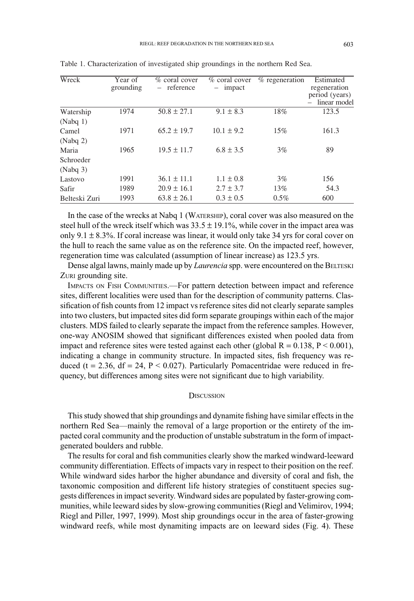| Wreck                | Year of   | $%$ coral cover | $%$ coral cover | $%$ regeneration | Estimated      |
|----------------------|-----------|-----------------|-----------------|------------------|----------------|
|                      | grounding | - reference     | impact          |                  | regeneration   |
|                      |           |                 |                 |                  | period (years) |
|                      |           |                 |                 |                  | linear model   |
| Watership            | 1974      | $50.8 \pm 27.1$ | $9.1 \pm 8.3$   | 18%              | 123.5          |
| (Nabq 1)             |           |                 |                 |                  |                |
| Camel                | 1971      | $65.2 \pm 19.7$ | $10.1 \pm 9.2$  | 15%              | 161.3          |
| (Nabq 2)             |           |                 |                 |                  |                |
| Maria                | 1965      | $19.5 \pm 11.7$ | $6.8 \pm 3.5$   | 3%               | 89             |
| Schroeder            |           |                 |                 |                  |                |
| (Nabq <sub>3</sub> ) |           |                 |                 |                  |                |
| Lastovo              | 1991      | $36.1 \pm 11.1$ | $1.1 \pm 0.8$   | 3%               | 156            |
| Safir                | 1989      | $20.9 \pm 16.1$ | $2.7 \pm 3.7$   | 13%              | 54.3           |
| Belteski Zuri        | 1993      | $63.8 \pm 26.1$ | $0.3 \pm 0.5$   | 0.5%             | 600            |

Table 1. Characterization of investigated ship groundings in the northern Red Sea.

In the case of the wrecks at Nabq 1 (WATERSHIP), coral cover was also measured on the steel hull of the wreck itself which was  $33.5 \pm 19.1\%$ , while cover in the impact area was only 9.1  $\pm$  8.3%. If coral increase was linear, it would only take 34 yrs for coral cover on the hull to reach the same value as on the reference site. On the impacted reef, however, regeneration time was calculated (assumption of linear increase) as 123.5 yrs.

Dense algal lawns, mainly made up by Laurencia spp. were encountered on the BELTESKI ZURI grounding site.

IMPACTS ON FISH COMMUNITIES.—For pattern detection between impact and reference sites, different localities were used than for the description of community patterns. Classification of fish counts from 12 impact vs reference sites did not clearly separate samples into two clusters, but impacted sites did form separate groupings within each of the major clusters. MDS failed to clearly separate the impact from the reference samples. However, one-way ANOSIM showed that significant differences existed when pooled data from impact and reference sites were tested against each other (global  $R = 0.138$ ,  $P \le 0.001$ ), indicating a change in community structure. In impacted sites, fish frequency was reduced ( $t = 2.36$ ,  $df = 24$ ,  $P < 0.027$ ). Particularly Pomacentridae were reduced in frequency, but differences among sites were not significant due to high variability.

#### **DISCUSSION**

This study showed that ship groundings and dynamite fishing have similar effects in the northern Red Sea-mainly the removal of a large proportion or the entirety of the impacted coral community and the production of unstable substratum in the form of impactgenerated boulders and rubble.

The results for coral and fish communities clearly show the marked windward-leeward community differentiation. Effects of impacts vary in respect to their position on the reef. While windward sides harbor the higher abundance and diversity of coral and fish, the taxonomic composition and different life history strategies of constituent species suggests differences in impact severity. Windward sides are populated by faster-growing communities, while leeward sides by slow-growing communities (Riegl and Velimirov, 1994; Riegl and Piller, 1997, 1999). Most ship groundings occur in the area of faster-growing windward reefs, while most dynamiting impacts are on leeward sides (Fig. 4). These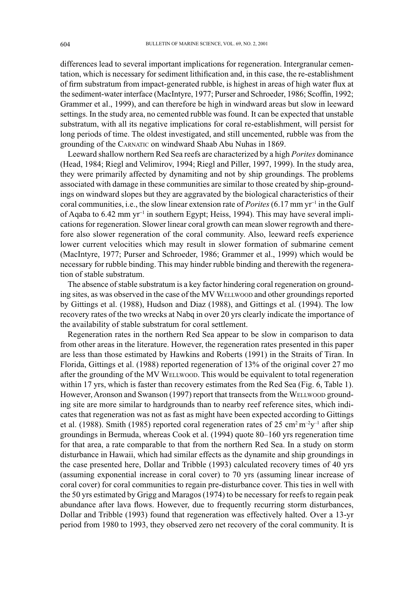differences lead to several important implications for regeneration. Intergranular cementation, which is necessary for sediment lithification and, in this case, the re-establishment of firm substratum from impact-generated rubble, is highest in areas of high water flux at the sediment-water interface (MacIntyre, 1977; Purser and Schroeder, 1986; Scoffin, 1992; Grammer et al., 1999), and can therefore be high in windward areas but slow in leeward settings. In the study area, no cemented rubble was found. It can be expected that unstable substratum, with all its negative implications for coral re-establishment, will persist for long periods of time. The oldest investigated, and still uncemented, rubble was from the grounding of the CARNATIC on windward Shaab Abu Nuhas in 1869.

Leeward shallow northern Red Sea reefs are characterized by a high *Porites* dominance (Head, 1984; Riegl and Velimirov, 1994; Riegl and Piller, 1997, 1999). In the study area, they were primarily affected by dynamiting and not by ship groundings. The problems associated with damage in these communities are similar to those created by ship-groundings on windward slopes but they are aggravated by the biological characteristics of their coral communities, i.e., the slow linear extension rate of *Porites* (6.17 mm yr<sup>-1</sup> in the Gulf of Aqaba to 6.42 mm yr<sup>-1</sup> in southern Egypt; Heiss, 1994). This may have several implications for regeneration. Slower linear coral growth can mean slower regrowth and therefore also slower regeneration of the coral community. Also, leeward reefs experience lower current velocities which may result in slower formation of submarine cement (MacIntyre, 1977; Purser and Schroeder, 1986; Grammer et al., 1999) which would be necessary for rubble binding. This may hinder rubble binding and therewith the regeneration of stable substratum.

The absence of stable substratum is a key factor hindering coral regeneration on grounding sites, as was observed in the case of the MV WELLWOOD and other groundings reported by Gittings et al. (1988), Hudson and Diaz (1988), and Gittings et al. (1994). The low recovery rates of the two wrecks at Nabq in over 20 yrs clearly indicate the importance of the availability of stable substratum for coral settlement.

Regeneration rates in the northern Red Sea appear to be slow in comparison to data from other areas in the literature. However, the regeneration rates presented in this paper are less than those estimated by Hawkins and Roberts (1991) in the Straits of Tiran. In Florida, Gittings et al. (1988) reported regeneration of 13% of the original cover 27 mo after the grounding of the MV WELLWOOD. This would be equivalent to total regeneration within 17 yrs, which is faster than recovery estimates from the Red Sea (Fig. 6, Table 1). However, Aronson and Swanson (1997) report that transects from the WELLWOOD grounding site are more similar to hardgrounds than to nearby reef reference sites, which indicates that regeneration was not as fast as might have been expected according to Gittings et al. (1988). Smith (1985) reported coral regeneration rates of 25 cm<sup>2</sup> m<sup>-2</sup>y<sup>-1</sup> after ship groundings in Bermuda, whereas Cook et al. (1994) quote 80-160 yrs regeneration time for that area, a rate comparable to that from the northern Red Sea. In a study on storm disturbance in Hawaii, which had similar effects as the dynamite and ship groundings in the case presented here, Dollar and Tribble (1993) calculated recovery times of 40 yrs (assuming exponential increase in coral cover) to  $70$  vrs (assuming linear increase of coral cover) for coral communities to regain pre-disturbance cover. This ties in well with the 50 yrs estimated by Grigg and Maragos (1974) to be necessary for reefs to regain peak abundance after lava flows. However, due to frequently recurring storm disturbances, Dollar and Tribble (1993) found that regeneration was effectively halted. Over a 13-yr period from 1980 to 1993, they observed zero net recovery of the coral community. It is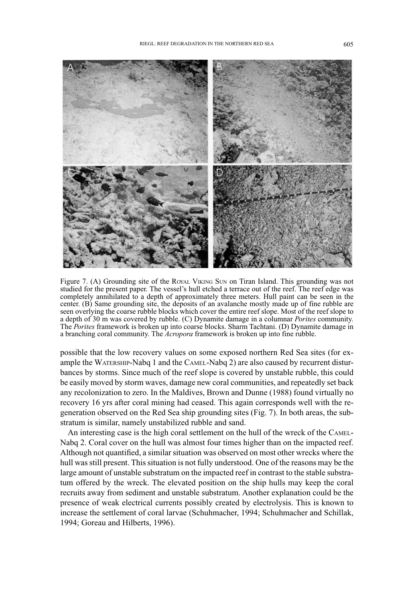

Figure 7. (A) Grounding site of the ROYAL VIKING SUN on Tiran Island. This grounding was not studied for the present paper. The vessel's hull etched a terrace out of the reef. The reef edge was completely annihilated to a depth of approximately three meters. Hull paint can be seen in the center. (B) Same grounding site, the deposits of an avalanche mostly made up of fine rubble are seen overlying the coarse rubble blocks which cover the entire reef slope. Most of the reef slope to a depth of 30 m was covered by rubble. (C) Dynamite damage in a columnar *Porites* community. The *Porites* framework is broken up into coarse blocks. Sharm Tachtani. (D) Dynamite damage in a branching coral community. The *Acropora* framework is broken up into fine rubble.

possible that the low recovery values on some exposed northern Red Sea sites (for example the WATERSHIP-Nabq 1 and the CAMEL-Nabq 2) are also caused by recurrent disturbances by storms. Since much of the reef slope is covered by unstable rubble, this could be easily moved by storm waves, damage new coral communities, and repeatedly set back any recolonization to zero. In the Maldives, Brown and Dunne (1988) found virtually no recovery 16 yrs after coral mining had ceased. This again corresponds well with the regeneration observed on the Red Sea ship grounding sites (Fig. 7). In both areas, the substratum is similar, namely unstabilized rubble and sand.

An interesting case is the high coral settlement on the hull of the wreck of the CAMEL-Nabq 2. Coral cover on the hull was almost four times higher than on the impacted reef. Although not quantified, a similar situation was observed on most other wrecks where the hull was still present. This situation is not fully understood. One of the reasons may be the large amount of unstable substratum on the impacted reef in contrast to the stable substratum offered by the wreck. The elevated position on the ship hulls may keep the coral recruits away from sediment and unstable substratum. Another explanation could be the presence of weak electrical currents possibly created by electrolysis. This is known to increase the settlement of coral larvae (Schuhmacher, 1994; Schuhmacher and Schillak, 1994: Goreau and Hilberts, 1996).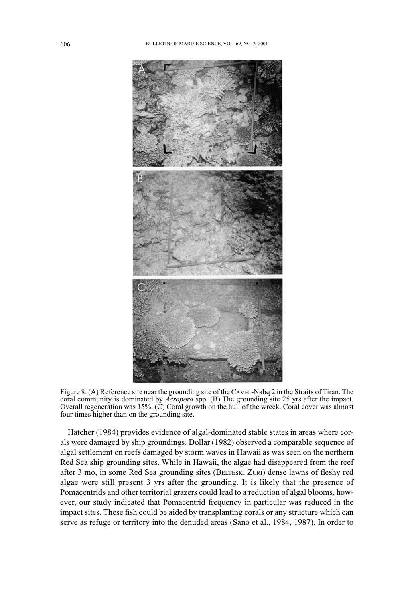

Figure 8. (A) Reference site near the grounding site of the CAMEL-Nabq 2 in the Straits of Tiran. The coral community is dominated by Acropora spp. (B) The grounding site 25 yrs after the impact. Overall regeneration was 15%. (C) Coral growth on the hull of the wreck. Coral cover was almost four times higher than on the grounding site.

Hatcher (1984) provides evidence of algal-dominated stable states in areas where corals were damaged by ship groundings. Dollar (1982) observed a comparable sequence of algal settlement on reefs damaged by storm waves in Hawaii as was seen on the northern Red Sea ship grounding sites. While in Hawaii, the algae had disappeared from the reef after 3 mo, in some Red Sea grounding sites (BELTESKI ZURI) dense lawns of fleshy red algae were still present 3 yrs after the grounding. It is likely that the presence of Pomacentrids and other territorial grazers could lead to a reduction of algal blooms, however, our study indicated that Pomacentrid frequency in particular was reduced in the impact sites. These fish could be aided by transplanting corals or any structure which can serve as refuge or territory into the denuded areas (Sano et al., 1984, 1987). In order to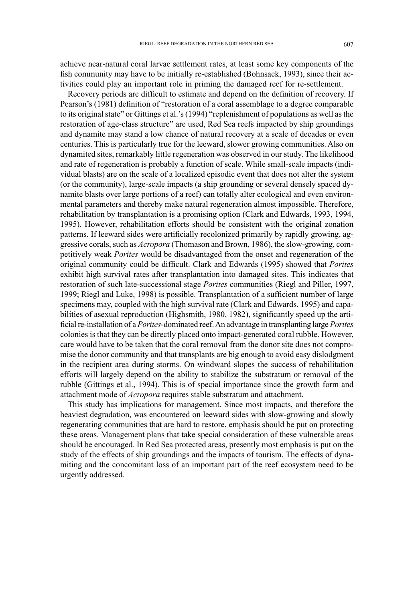achieve near-natural coral larvae settlement rates, at least some key components of the fish community may have to be initially re-established (Bohnsack, 1993), since their activities could play an important role in priming the damaged reef for re-settlement.

Recovery periods are difficult to estimate and depend on the definition of recovery. If Pearson's (1981) definition of "restoration of a coral assemblage to a degree comparable to its original state" or Gittings et al.'s (1994) "replenishment of populations as well as the restoration of age-class structure" are used, Red Sea reefs impacted by ship groundings and dynamite may stand a low chance of natural recovery at a scale of decades or even centuries. This is particularly true for the leeward, slower growing communities. Also on dynamited sites, remarkably little regeneration was observed in our study. The likelihood and rate of regeneration is probably a function of scale. While small-scale impacts (individual blasts) are on the scale of a localized episodic event that does not alter the system (or the community), large-scale impacts (a ship grounding or several densely spaced dynamite blasts over large portions of a reef) can totally alter ecological and even environmental parameters and thereby make natural regeneration almost impossible. Therefore, rehabilitation by transplantation is a promising option (Clark and Edwards, 1993, 1994, 1995). However, rehabilitation efforts should be consistent with the original zonation patterns. If leeward sides were artificially recolonized primarily by rapidly growing, aggressive corals, such as *Acropora* (Thomason and Brown, 1986), the slow-growing, competitively weak *Porites* would be disadvantaged from the onset and regeneration of the original community could be difficult. Clark and Edwards (1995) showed that Porites exhibit high survival rates after transplantation into damaged sites. This indicates that restoration of such late-successional stage Porites communities (Riegl and Piller, 1997, 1999; Riegl and Luke, 1998) is possible. Transplantation of a sufficient number of large specimens may, coupled with the high survival rate (Clark and Edwards, 1995) and capabilities of asexual reproduction (Highsmith, 1980, 1982), significantly speed up the artificial re-installation of a *Porites*-dominated reef. An advantage in transplanting large *Porites* colonies is that they can be directly placed onto impact-generated coral rubble. However, care would have to be taken that the coral removal from the donor site does not compromise the donor community and that transplants are big enough to avoid easy dislodgment in the recipient area during storms. On windward slopes the success of rehabilitation efforts will largely depend on the ability to stabilize the substratum or removal of the rubble (Gittings et al., 1994). This is of special importance since the growth form and attachment mode of *Acropora* requires stable substratum and attachment.

This study has implications for management. Since most impacts, and therefore the heaviest degradation, was encountered on leeward sides with slow-growing and slowly regenerating communities that are hard to restore, emphasis should be put on protecting these areas. Management plans that take special consideration of these vulnerable areas should be encouraged. In Red Sea protected areas, presently most emphasis is put on the study of the effects of ship groundings and the impacts of tourism. The effects of dynamiting and the concomitant loss of an important part of the reef ecosystem need to be urgently addressed.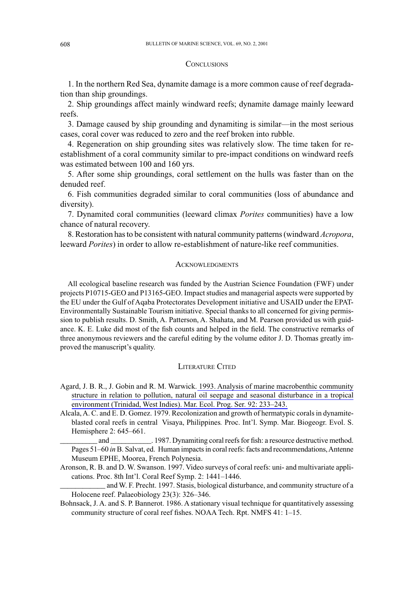#### **CONCLUSIONS**

1. In the northern Red Sea, dynamite damage is a more common cause of reef degradation than ship groundings.

2. Ship groundings affect mainly windward reefs; dynamite damage mainly leeward reefs.

3. Damage caused by ship grounding and dynamiting is similar—in the most serious cases, coral cover was reduced to zero and the reef broken into rubble.

4. Regeneration on ship grounding sites was relatively slow. The time taken for reestablishment of a coral community similar to pre-impact conditions on windward reefs was estimated between 100 and 160 yrs.

5. After some ship groundings, coral settlement on the hulls was faster than on the denuded reef.

6. Fish communities degraded similar to coral communities (loss of abundance and diversity).

7. Dynamited coral communities (leeward climax *Porites* communities) have a low chance of natural recovery.

8. Restoration has to be consistent with natural community patterns (windward Acropora, leeward Porites) in order to allow re-establishment of nature-like reef communities.

#### **ACKNOWLEDGMENTS**

All ecological baseline research was funded by the Austrian Science Foundation (FWF) under projects P10715-GEO and P13165-GEO. Impact studies and managerial aspects were supported by the EU under the Gulf of Aqaba Protectorates Development initiative and USAID under the EPAT-Environmentally Sustainable Tourism initiative. Special thanks to all concerned for giving permission to publish results. D. Smith, A. Patterson, A. Shahata, and M. Pearson provided us with guidance. K. E. Luke did most of the fish counts and helped in the field. The constructive remarks of three anonymous reviewers and the careful editing by the volume editor J. D. Thomas greatly improved the manuscript's quality.

#### **LITERATURE CITED**

- Agard, J. B. R., J. Gobin and R. M. Warwick. 1993. Analysis of marine macrobenthic community structure in relation to pollution, natural oil seepage and seasonal disturbance in a tropical environment (Trinidad, West Indies). Mar. Ecol. Prog. Ser. 92: 233-243.
- Alcala, A. C. and E. D. Gomez. 1979. Recolonization and growth of hermatypic corals in dynamiteblasted coral reefs in central Visaya, Philippines. Proc. Int'l. Symp. Mar. Biogeogr. Evol. S. Hemisphere 2: 645-661.

and Pages 51-60 in B. Salvat, ed. Human impacts in coral reefs: facts and recommendations, Antenne Museum EPHE, Moorea, French Polynesia.

Aronson, R. B. and D. W. Swanson. 1997. Video surveys of coral reefs: uni- and multivariate applications. Proc. 8th Int'l. Coral Reef Symp. 2: 1441-1446.

and W. F. Precht. 1997. Stasis, biological disturbance, and community structure of a Holocene reef. Palaeobiology 23(3): 326-346.

Bohnsack, J. A. and S. P. Bannerot. 1986. A stationary visual technique for quantitatively assessing community structure of coral reef fishes. NOAA Tech. Rpt. NMFS 41: 1-15.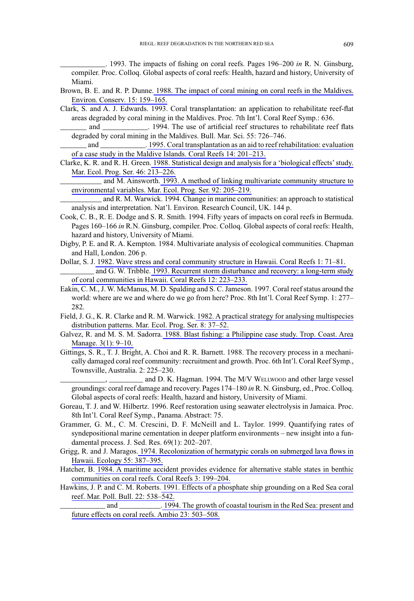. 1993. The impacts of fishing on coral reefs. Pages  $196-200$  in R. N. Ginsburg, compiler. Proc. Colloq. Global aspects of coral reefs: Health, hazard and history, University of Miami

- Brown, B. E. and R. P. Dunne. 1988. The impact of coral mining on coral reefs in the Maldives. Environ. Conserv. 15: 159-165.
- Clark, S. and A. J. Edwards. 1993. Coral transplantation: an application to rehabilitate reef-flat areas degraded by coral mining in the Maldives. Proc. 7th Int'l. Coral Reef Symp.: 636.
	- and . 1994. The use of artificial reef structures to rehabilitate reef flats degraded by coral mining in the Maldives. Bull. Mar. Sci. 55: 726-746.
	- and 1995. Coral transplantation as an aid to reef rehabilitation: evaluation of a case study in the Maldive Islands. Coral Reefs 14: 201-213.
- Clarke, K. R. and R. H. Green. 1988. Statistical design and analysis for a 'biological effects' study. Mar. Ecol. Prog. Ser. 46: 213-226.

and M. Ainsworth. 1993. A method of linking multivariate community structure to environmental variables. Mar. Ecol. Prog. Ser. 92: 205-219.

and R. M. Warwick. 1994. Change in marine communities: an approach to statistical analysis and interpretation. Nat'l. Environ. Research Council, UK. 144 p.

- Cook, C. B., R. E. Dodge and S. R. Smith. 1994. Fifty years of impacts on coral reefs in Bermuda. Pages 160–166 in R.N. Ginsburg, compiler. Proc. Collog. Global aspects of coral reefs: Health, hazard and history, University of Miami.
- Digby, P. E. and R. A. Kempton. 1984. Multivariate analysis of ecological communities. Chapman and Hall, London. 206 p.
- Dollar, S. J. 1982. Wave stress and coral community structure in Hawaii. Coral Reefs 1: 71-81. and G. W. Tribble. 1993. Recurrent storm disturbance and recovery: a long-term study of coral communities in Hawaii. Coral Reefs 12: 223-233.
- Eakin, C. M., J. W. McManus, M. D. Spalding and S. C. Jameson. 1997. Coral reef status around the world: where are we and where do we go from here? Proc. 8th Int'l. Coral Reef Symp. 1: 277– 282.
- Field, J. G., K. R. Clarke and R. M. Warwick. 1982. A practical strategy for analysing multispecies distribution patterns. Mar. Ecol. Prog. Ser. 8: 37-52.
- Galvez, R. and M. S. M. Sadorra. 1988. Blast fishing: a Philippine case study. Trop. Coast. Area Manage. 3(1): 9-10.
- Gittings, S. R., T. J. Bright, A. Choi and R. R. Barnett. 1988. The recovery process in a mechanically damaged coral reef community: recruitment and growth. Proc. 6th Int'l. Coral Reef Symp., Townsville, Australia. 2: 225-230.
	- \_ and D. K. Hagman. 1994. The M/V WELLWOOD and other large vessel groundings: coral reef damage and recovery. Pages 174–180 in R. N. Ginsburg, ed., Proc. Colloq. Global aspects of coral reefs: Health, hazard and history, University of Miami.
- Goreau, T. J. and W. Hilbertz. 1996. Reef restoration using seawater electrolysis in Jamaica. Proc. 8th Int'l. Coral Reef Symp., Panama. Abstract: 75.
- Grammer, G. M., C. M. Crescini, D. F. McNeill and L. Taylor. 1999. Quantifying rates of syndepositional marine cementation in deeper platform environments - new insight into a fundamental process. J. Sed. Res. 69(1): 202-207.
- Grigg, R. and J. Maragos. 1974. Recolonization of hermatypic corals on submerged lava flows in Hawaii. Ecology 55: 387-395.
- Hatcher, B. 1984. A maritime accident provides evidence for alternative stable states in benthic communities on coral reefs. Coral Reefs 3: 199-204.
- Hawkins, J. P. and C. M. Roberts. 1991. Effects of a phosphate ship grounding on a Red Sea coral reef. Mar. Poll. Bull. 22: 538-542.

and .1994. The growth of coastal tourism in the Red Sea: present and future effects on coral reefs. Ambio 23: 503-508.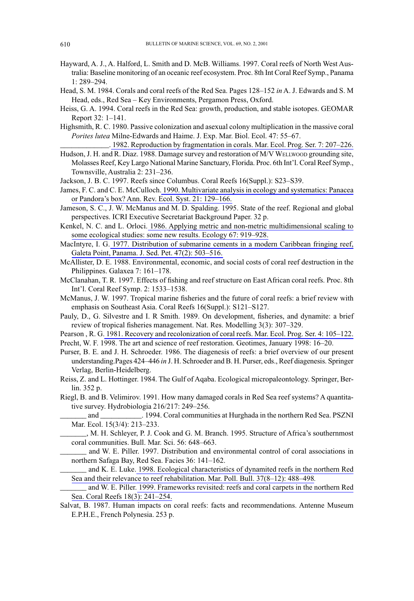- Hayward, A. J., A. Halford, L. Smith and D. McB. Williams. 1997. Coral reefs of North West Australia: Baseline monitoring of an oceanic reef ecosystem. Proc. 8th Int Coral Reef Symp., Panama  $1:289 - 294.$
- Head, S. M. 1984. Corals and coral reefs of the Red Sea. Pages 128–152 in A. J. Edwards and S. M Head, eds., Red Sea - Key Environments, Pergamon Press, Oxford.
- Heiss, G. A. 1994. Coral reefs in the Red Sea: growth, production, and stable isotopes. GEOMAR Report 32: 1-141.
- Highsmith, R. C. 1980. Passive colonization and asexual colony multiplication in the massive coral Porites lutea Milne-Edwards and Haime. J. Exp. Mar. Biol. Ecol. 47: 55-67.

. 1982. Reproduction by fragmentation in corals. Mar. Ecol. Prog. Ser. 7: 207-226. Hudson, J. H. and R. Diaz. 1988. Damage survey and restoration of M/V WELLWOOD grounding site, Molasses Reef, Key Largo National Marine Sanctuary, Florida. Proc. 6th Int'l. Coral Reef Symp., Townsville, Australia 2: 231-236.

Jackson, J. B. C. 1997. Reefs since Columbus. Coral Reefs 16(Suppl.): S23–S39.

- James, F. C. and C. E. McCulloch. 1990. Multivariate analysis in ecology and systematics: Panacea or Pandora's box? Ann. Rev. Ecol. Syst. 21: 129-166.
- Jameson, S. C., J. W. McManus and M. D. Spalding. 1995. State of the reef. Regional and global perspectives. ICRI Executive Secretariat Background Paper. 32 p.
- Kenkel, N. C. and L. Orloci. 1986. Applying metric and non-metric multidimensional scaling to some ecological studies: some new results. Ecology 67: 919–928.

MacIntyre, I. G. 1977. Distribution of submarine cements in a modern Caribbean fringing reef, Galeta Point, Panama. J. Sed. Pet. 47(2): 503-516.

McAllister, D. E. 1988. Environmental, economic, and social costs of coral reef destruction in the Philippines. Galaxea 7: 161-178.

- McClanahan, T. R. 1997. Effects of fishing and reef structure on East African coral reefs. Proc. 8th Int'l. Coral Reef Symp. 2: 1533-1538.
- McManus, J. W. 1997. Tropical marine fisheries and the future of coral reefs: a brief review with emphasis on Southeast Asia. Coral Reefs 16(Suppl.): S121-S127.
- Pauly, D., G. Silvestre and I. R Smith. 1989. On development, fisheries, and dynamite: a brief review of tropical fisheries management. Nat. Res. Modelling 3(3): 307-329.

Pearson, R. G. 1981. Recovery and recolonization of coral reefs. Mar. Ecol. Prog. Ser. 4: 105-122. Precht, W. F. 1998. The art and science of reef restoration. Geotimes, January 1998: 16–20.

Purser, B. E. and J. H. Schroeder. 1986. The diagenesis of reefs: a brief overview of our present understanding Pages 424–446 in J. H. Schroeder and B. H. Purser, eds., Reef diagenesis. Springer Verlag, Berlin-Heidelberg.

Reiss, Z. and L. Hottinger. 1984. The Gulf of Aqaba. Ecological micropaleontology. Springer, Berlin. 352 p.

Riegl, B. and B. Velimirov. 1991. How many damaged corals in Red Sea reef systems? A quantitative survey. Hydrobiologia 216/217: 249–256.

and 1994. Coral communities at Hurghada in the northern Red Sea. PSZNI Mar. Ecol. 15(3/4): 213-233.

\_, M. H. Schleyer, P. J. Cook and G. M. Branch. 1995. Structure of Africa's southernmost coral communities. Bull. Mar. Sci. 56: 648-663.

and W. E. Piller. 1997. Distribution and environmental control of coral associations in northern Safaga Bay, Red Sea. Facies 36: 141-162.

and K. E. Luke. 1998. Ecological characteristics of dynamited reefs in the northern Red Sea and their relevance to reef rehabilitation. Mar. Poll. Bull. 37(8-12): 488-498.

and W. E. Piller. 1999. Frameworks revisited: reefs and coral carpets in the northern Red Sea. Coral Reefs 18(3): 241-254.

Salvat, B. 1987. Human impacts on coral reefs: facts and recommendations. Antenne Museum E.P.H.E., French Polynesia. 253 p.